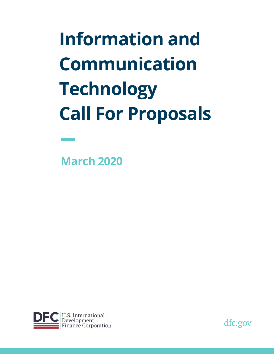**Information and Communication Technology Call For Proposals**

**March 2020** 



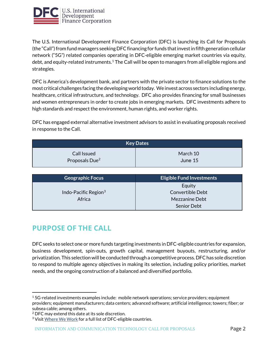

The U.S. International Development Finance Corporation (DFC) is launching its Call for Proposals (the "Call") from fund managers seeking DFC financing for funds that invest in fifth generation cellular network ("5G") related companies operating in DFC-eligible emerging market countries via equity, debt, and equity-related instruments.<sup>1</sup> The Call will be open to managers from all eligible regions and strategies.

 DFC is America's development bank, and partners with the private sector to finance solutions to the most critical challenges facing the developing world today. We invest across sectors including energy, healthcare, critical infrastructure, and technology. DFC also provides financing for small businesses and women entrepreneurs in order to create jobs in emerging markets. DFC investments adhere to high standards and respect the environment, human rights, and worker rights.

DFC has engaged external alternative investment advisors to assist in evaluating proposals received in response to the Call.

| <b>Key Dates</b>           |          |  |
|----------------------------|----------|--|
| Call Issued                | March 10 |  |
| Proposals Due <sup>2</sup> | June 15  |  |

| <b>Geographic Focus</b> | <b>Eligible Fund Investments</b> |
|-------------------------|----------------------------------|
|                         | Equity                           |
| Indo-Pacific Region $3$ | Convertible Debt                 |
| Africa                  | Mezzanine Debt                   |
|                         | <b>Senior Debt</b>               |

# **PURPOSE OF THE CALL**

i DFC seeks to select one or more funds targeting investments in DFC-eligible countries for expansion, business development, spin-outs, growth capital, management buyouts, restructuring, and/or privatization. This selection will be conducted through a competitive process. DFC has sole discretion to respond to multiple agency objectives in making its selection, including policy priorities, market needs, and the ongoing construction of a balanced and diversified portfolio.

<span id="page-1-0"></span> $15G$ -related investments examples include: mobile network operations; service providers; equipment providers; equipment manufacturers; data centers; advanced software; artificial intelligence; towers; fiber; or subsea cable; among others.

<span id="page-1-2"></span><span id="page-1-1"></span><sup>&</sup>lt;sup>2</sup> DFC may extend this date at its sole discretion.

 $3$  Visit  $\underline{\text{Where We Work}}$  for a full list of DFC-eligible countries.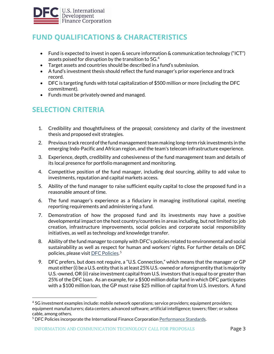

# **FUND QUALIFICATIONS & CHARACTERISTICS**

- Fund is expected to invest in open & secure information & communication technology ("ICT") assets poised for disruption by the transition to 5G.<sup>4</sup>
- Target assets and countries should be described in a fund's submission.
- A fund's investment thesis should reflect the fund manager's prior experience and track record.
- DFC is targeting funds with total capitalization of \$500 million or more (including the DFC commitment).
- Funds must be privately owned and managed.

## **SELECTION CRITERIA**

- 1. Credibility and thoughtfulness of the proposal; consistency and clarity of the investment thesis and proposed exit strategies.
- 2. Previous track record of the fund management team making long-term risk investments in the emerging Indo-Pacific and African region, and the team's telecom infrastructure experience.
- 3. Experience, depth, credibility and cohesiveness of the fund management team and details of its local presence for portfolio management and monitoring.
- 4. Competitive position of the fund manager, including deal sourcing, ability to add value to investments, reputation and capital markets access.
- 5. Ability of the fund manager to raise sufficient equity capital to close the proposed fund in a reasonable amount of time.
- 6. The fund manager's experience as a fiduciary in managing institutional capital, meeting reporting requirements and administering a fund.
- 7. Demonstration of how the proposed fund and its investments may have a positive developmental impact on the host country/countries in areas including, but not limited to: job creation, infrastructure improvements, social policies and corporate social responsibility initiatives, as well as technology and knowledge transfer.
- 8. Ability of the fund manager to comply with DFC's policies related to environmental and social sustainability as well as respect for human and workers' rights. For further details on DFC policies, please visit [DFC Policies.](https://www.dfc.gov/sites/default/files/media/documents/DFC_ESPP_012020.pdf) [5](#page-2-1)
- j. 9. DFC prefers, but does not require, a "U.S. Connection," which means that the manager or GP must either (i) be a U.S. entity that is at least 25% U.S.-owned or a foreign entity that is majority U.S.-owned, OR (ii) raise investment capital from U.S. investors that is equal to or greater than 25% of the DFC loan. As an example, for a \$500 million dollar fund in which DFC participates with a \$100 million loan, the GP must raise \$25 million of capital from U.S. investors. A fund

<span id="page-2-0"></span><sup>4 5</sup>G investment examples include: mobile network operations; service providers; equipment providers; equipment manufacturers; data centers; advanced software; artificial intelligence; towers; fiber; or subsea cable, among others.

<span id="page-2-1"></span><sup>&</sup>lt;sup>5</sup> DFC Policies incorporate the International Finance Corporation Performance Standards.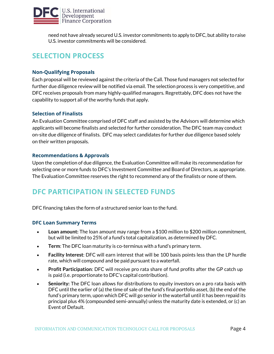

need not have already secured U.S. investor commitments to apply to DFC, but ability to raise U.S. investor commitments will be considered.

# **SELECTION PROCESS**

#### **Non-Qualifying Proposals**

Each proposal will be reviewed against the criteria of the Call. Those fund managers not selected for further due diligence review will be notified via email. The selection process is very competitive, and DFC receives proposals from many highly-qualified managers. Regrettably, DFC does not have the capability to support all of the worthy funds that apply.

#### **Selection of Finalists**

An Evaluation Committee comprised of DFC staff and assisted by the Advisors will determine which applicants will become finalists and selected for further consideration. The DFC team may conduct on-site due diligence of finalists. DFC may select candidates for further due diligence based solely on their written proposals.

#### **Recommendations & Approvals**

Upon the completion of due diligence, the Evaluation Committee will make its recommendation for selecting one or more funds to DFC's Investment Committee and Board of Directors, as appropriate. The Evaluation Committee reserves the right to recommend any of the finalists or none of them.

### **DFC PARTICIPATION IN SELECTED FUNDS**

DFC financing takes the form of a structured senior loan to the fund.

#### **DFC Loan Summary Terms**

- **Loan amount:** The loan amount may range from a \$100 million to \$200 million commitment, but will be limited to 25% of a fund's total capitalization, as determined by DFC.
- **Term**: The DFC loan maturity is co-terminus with a fund's primary term.
- **Facility Interest**: DFC will earn interest that will be 100 basis points less than the LP hurdle rate, which will compound and be paid pursuant to a waterfall.
- $\overline{\phantom{a}}$ • **Profit Participation**: DFC will receive pro rata share of fund profits after the GP catch up is paid (i.e. proportionate to DFC's capital contribution).
- **Seniority:** The DFC loan allows for distributions to equity investors on a pro rata basis with DFC until the earlier of (a) the time of sale of the fund's final portfolio asset, (b) the end of the fund's primary term, upon which DFC will go senior in the waterfall until it has been repaid its principal plus 4% (compounded semi-annually) unless the maturity date is extended, or (c) an Event of Default.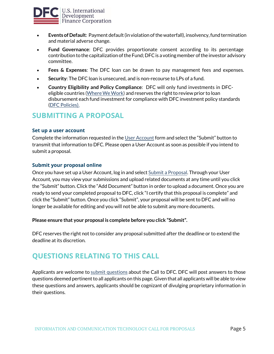

- **Events of Default**: Payment default (in violation of the waterfall), insolvency, fund termination and material adverse change.
- **Fund Governance**: DFC provides proportionate consent according to its percentage contribution to the capitalization of the Fund; DFC is a voting member of the investor advisory committee.
- **Fees & Expenses**: The DFC loan can be drawn to pay management fees and expenses.
- **Security**: The DFC loan is unsecured, and is non-recourse to LPs of a fund.
- $\overline{a}$ • **Country Eligibility and Policy Compliance**: DFC will only fund investments in DFCeligible countries ([Where We](https://www.dfc.gov/what-we-offer/eligibility/where-we-work) Work) and reserves the right to review prior to loan disbursement each fund investment for compliance with DFC investment policy standards [\(DFC Policies\).](https://www.dfc.gov/what-we-offer/eligibility/our-investment-policies)

### **SUBMITTING A PROPOSAL**

#### **Set up a user account**

Complete the information requested in the [User Account](https://www3.opic.gov/dfcforms/Account/Login.aspx) form and select the "Submit" button to transmit that information to DFC. Please open a User Account as soon as possible if you intend to submit a proposal.

#### **Submit your proposal online**

Once you have set up a User Account, log in and select [Submit a Proposal.](https://www3.opic.gov/DFCForms/Account/Login.aspx) Through your User Account, you may view your submissions and upload related documents at any time until you click the "Submit" button. Click the "Add Document" button in order to upload a document. Once you are ready to send your completed proposal to DFC, click "I certify that this proposal is complete" and click the "Submit" button. Once you click "Submit", your proposal will be sent to DFC and will no longer be available for editing and you will not be able to submit any more documents.

#### **Please ensure that your proposal is complete before you click "Submit".**

DFC reserves the right not to consider any proposal submitted after the deadline or to extend the deadline at its discretion.

# **QUESTIONS RELATING TO THIS CALL**

 $\epsilon$ Applicants are welcome to [submit questions a](https://www3.opic.gov/DFCForms/Account/Login.aspx)bout the Call to DFC. DFC will post answers to those questions deemed pertinent to all applicants on this page. Given that all applicants will be able to view these questions and answers, applicants should be cognizant of divulging proprietary information in their questions.